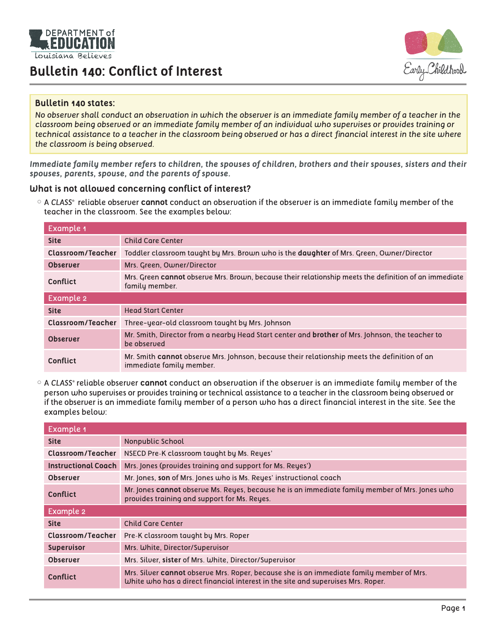

## **Bulletin 140: Conflict of Interest**



#### **Bulletin 140 states:**

*No observer shall conduct an observation in which the observer is an immediate family member of a teacher in the classroom being observed or an immediate family member of an individual who supervises or provides training or technical assistance to a teacher in the classroom being observed or has a direct financial interest in the site where the classroom is being observed.* 

*Immediate family member refers to children, the spouses of children, brothers and their spouses, sisters and their spouses, parents, spouse, and the parents of spouse.*

#### **What is not allowed concerning conflict of interest?**

x A *CLASS®* reliable observer **cannot** conduct an observation if the observer is an immediate family member of the teacher in the classroom. See the examples below:

| <b>Example 1</b>         |                                                                                                                          |  |
|--------------------------|--------------------------------------------------------------------------------------------------------------------------|--|
| <b>Site</b>              | <b>Child Care Center</b>                                                                                                 |  |
| Classroom/Teacher        | Toddler classroom taught by Mrs. Brown who is the <b>daughter</b> of Mrs. Green, Owner/Director                          |  |
| <b>Observer</b>          | Mrs. Green, Owner/Director                                                                                               |  |
| Conflict                 | Mrs. Green cannot observe Mrs. Brown, because their relationship meets the definition of an immediate<br>family member.  |  |
| Example 2                |                                                                                                                          |  |
| <b>Site</b>              | <b>Head Start Center</b>                                                                                                 |  |
| <b>Classroom/Teacher</b> | Three-year-old classroom taught by Mrs. Johnson                                                                          |  |
| <b>Observer</b>          | Mr. Smith, Director from a nearby Head Start center and <b>brother</b> of Mrs. Johnson, the teacher to<br>be observed    |  |
| Conflict                 | Mr. Smith cannot observe Mrs. Johnson, because their relationship meets the definition of an<br>immediate family member. |  |

x A *CLASS®* reliable observer **cannot** conduct an observation if the observer is an immediate family member of the person who supervises or provides training or technical assistance to a teacher in the classroom being observed or if the observer is an immediate family member of a person who has a direct financial interest in the site. See the examples below:

| <b>Example 1</b>           |                                                                                                                                                                              |  |
|----------------------------|------------------------------------------------------------------------------------------------------------------------------------------------------------------------------|--|
| <b>Site</b>                | Nonpublic School                                                                                                                                                             |  |
| <b>Classroom/Teacher</b>   | NSECD Pre-K classroom taught by Ms. Reyes'                                                                                                                                   |  |
| <b>Instructional Coach</b> | Mrs. Jones (provides training and support for Ms. Reyes')                                                                                                                    |  |
| <b>Observer</b>            | Mr. Jones, son of Mrs. Jones who is Ms. Reyes' instructional coach                                                                                                           |  |
| Conflict                   | Mr. Jones cannot observe Ms. Reyes, because he is an immediate family member of Mrs. Jones who<br>provides training and support for Ms. Reyes.                               |  |
| Example 2                  |                                                                                                                                                                              |  |
| <b>Site</b>                | <b>Child Care Center</b>                                                                                                                                                     |  |
| Classroom/Teacher          | Pre-K classroom taught by Mrs. Roper                                                                                                                                         |  |
| <b>Supervisor</b>          | Mrs. White, Director/Supervisor                                                                                                                                              |  |
| <b>Observer</b>            | Mrs. Silver, sister of Mrs. White, Director/Supervisor                                                                                                                       |  |
| Conflict                   | Mrs. Silver cannot observe Mrs. Roper, because she is an immediate family member of Mrs.<br>White who has a direct financial interest in the site and supervises Mrs. Roper. |  |